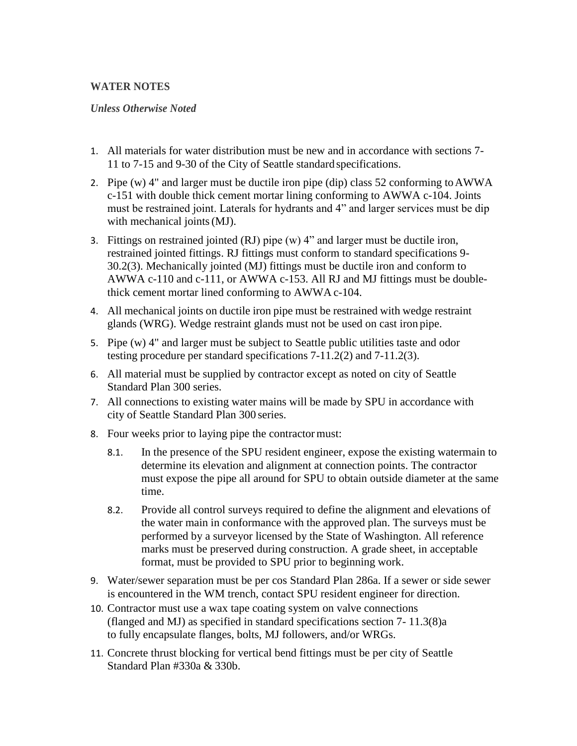## **WATER NOTES**

## *Unless Otherwise Noted*

- 1. All materials for water distribution must be new and in accordance with sections 7- 11 to 7-15 and 9-30 of the City of Seattle standard specifications.
- 2. Pipe (w) 4" and larger must be ductile iron pipe (dip) class 52 conforming toAWWA c-151 with double thick cement mortar lining conforming to AWWA c-104. Joints must be restrained joint. Laterals for hydrants and 4" and larger services must be dip with mechanical joints(MJ).
- 3. Fittings on restrained jointed (RJ) pipe (w) 4" and larger must be ductile iron, restrained jointed fittings. RJ fittings must conform to standard specifications 9- 30.2(3). Mechanically jointed (MJ) fittings must be ductile iron and conform to AWWA c-110 and c-111, or AWWA c-153. All RJ and MJ fittings must be doublethick cement mortar lined conforming to AWWA c-104.
- 4. All mechanical joints on ductile iron pipe must be restrained with wedge restraint glands (WRG). Wedge restraint glands must not be used on cast iron pipe.
- 5. Pipe (w) 4" and larger must be subject to Seattle public utilities taste and odor testing procedure per standard specifications 7-11.2(2) and 7-11.2(3).
- 6. All material must be supplied by contractor except as noted on city of Seattle Standard Plan 300 series.
- 7. All connections to existing water mains will be made by SPU in accordance with city of Seattle Standard Plan 300 series.
- 8. Four weeks prior to laying pipe the contractor must:
	- 8.1. In the presence of the SPU resident engineer, expose the existing watermain to determine its elevation and alignment at connection points. The contractor must expose the pipe all around for SPU to obtain outside diameter at the same time.
	- 8.2. Provide all control surveys required to define the alignment and elevations of the water main in conformance with the approved plan. The surveys must be performed by a surveyor licensed by the State of Washington. All reference marks must be preserved during construction. A grade sheet, in acceptable format, must be provided to SPU prior to beginning work.
- 9. Water/sewer separation must be per cos Standard Plan 286a. If a sewer or side sewer is encountered in the WM trench, contact SPU resident engineer for direction.
- 10. Contractor must use a wax tape coating system on valve connections (flanged and MJ) as specified in standard specifications section 7- 11.3(8)a to fully encapsulate flanges, bolts, MJ followers, and/or WRGs.
- 11. Concrete thrust blocking for vertical bend fittings must be per city of Seattle Standard Plan #330a & 330b.